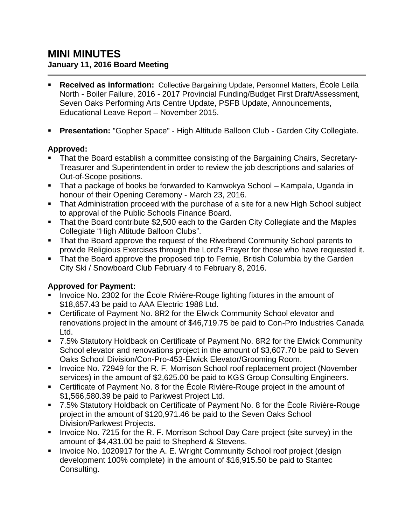# **MINI MINUTES January 11, 2016 Board Meeting**

- **Received as information:** Collective Bargaining Update, Personnel Matters, École Leila North - Boiler Failure, 2016 - 2017 Provincial Funding/Budget First Draft/Assessment, Seven Oaks Performing Arts Centre Update, PSFB Update, Announcements, Educational Leave Report – November 2015.
- **Presentation:** "Gopher Space" High Altitude Balloon Club Garden City Collegiate.

### **Approved:**

- That the Board establish a committee consisting of the Bargaining Chairs, Secretary-Treasurer and Superintendent in order to review the job descriptions and salaries of Out-of-Scope positions.
- That a package of books be forwarded to Kamwokya School Kampala, Uganda in honour of their Opening Ceremony - March 23, 2016.
- That Administration proceed with the purchase of a site for a new High School subject to approval of the Public Schools Finance Board.
- That the Board contribute \$2,500 each to the Garden City Collegiate and the Maples Collegiate "High Altitude Balloon Clubs".
- That the Board approve the request of the Riverbend Community School parents to provide Religious Exercises through the Lord's Prayer for those who have requested it.
- **That the Board approve the proposed trip to Fernie, British Columbia by the Garden** City Ski / Snowboard Club February 4 to February 8, 2016.

#### **Approved for Payment:**

- Invoice No. 2302 for the École Rivière-Rouge lighting fixtures in the amount of \$18,657.43 be paid to AAA Electric 1988 Ltd.
- Certificate of Payment No. 8R2 for the Elwick Community School elevator and renovations project in the amount of \$46,719.75 be paid to Con-Pro Industries Canada Ltd.
- 7.5% Statutory Holdback on Certificate of Payment No. 8R2 for the Elwick Community School elevator and renovations project in the amount of \$3,607.70 be paid to Seven Oaks School Division/Con-Pro-453-Elwick Elevator/Grooming Room.
- Invoice No. 72949 for the R. F. Morrison School roof replacement project (November services) in the amount of \$2,625.00 be paid to KGS Group Consulting Engineers.
- Certificate of Payment No. 8 for the École Rivière-Rouge project in the amount of \$1,566,580.39 be paid to Parkwest Project Ltd.
- 7.5% Statutory Holdback on Certificate of Payment No. 8 for the École Rivière-Rouge project in the amount of \$120,971.46 be paid to the Seven Oaks School Division/Parkwest Projects.
- Invoice No. 7215 for the R. F. Morrison School Day Care project (site survey) in the amount of \$4,431.00 be paid to Shepherd & Stevens.
- **IDED** 1020917 for the A. E. Wright Community School roof project (design development 100% complete) in the amount of \$16,915.50 be paid to Stantec Consulting.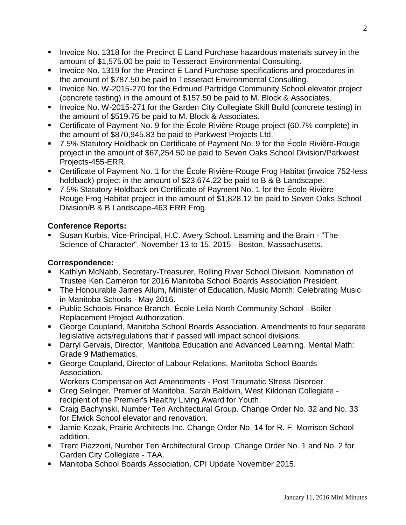- **Invoice No. 1318 for the Precinct E Land Purchase hazardous materials survey in the** amount of \$1,575.00 be paid to Tesseract Environmental Consulting.
- **Invoice No. 1319 for the Precinct E Land Purchase specifications and procedures in** the amount of \$787.50 be paid to Tesseract Environmental Consulting.
- **Invoice No. W-2015-270 for the Edmund Partridge Community School elevator project** (concrete testing) in the amount of \$157.50 be paid to M. Block & Associates.
- **IDED** Invoice No. W-2015-271 for the Garden City Collegiate Skill Build (concrete testing) in the amount of \$519.75 be paid to M. Block & Associates.
- Certificate of Payment No. 9 for the École Rivière-Rouge project (60.7% complete) in the amount of \$870,945.83 be paid to Parkwest Projects Ltd.
- 7.5% Statutory Holdback on Certificate of Payment No. 9 for the École Rivière-Rouge project in the amount of \$67,254.50 be paid to Seven Oaks School Division/Parkwest Projects-455-ERR.
- Certificate of Payment No. 1 for the École Rivière-Rouge Frog Habitat (invoice 752-less holdback) project in the amount of \$23,674.22 be paid to B & B Landscape.
- 7.5% Statutory Holdback on Certificate of Payment No. 1 for the École Rivière-Rouge Frog Habitat project in the amount of \$1,828.12 be paid to Seven Oaks School Division/B & B Landscape-463 ERR Frog.

# **Conference Reports:**

 Susan Kurbis, Vice-Principal, H.C. Avery School. Learning and the Brain - "The Science of Character", November 13 to 15, 2015 - Boston, Massachusetts.

# **Correspondence:**

- Kathlyn McNabb, Secretary-Treasurer, Rolling River School Division. Nomination of Trustee Ken Cameron for 2016 Manitoba School Boards Association President.
- The Honourable James Allum, Minister of Education. Music Month: Celebrating Music in Manitoba Schools - May 2016.
- Public Schools Finance Branch. École Leila North Community School Boiler Replacement Project Authorization.
- George Coupland, Manitoba School Boards Association. Amendments to four separate legislative acts/regulations that if passed will impact school divisions.
- Darryl Gervais, Director, Manitoba Education and Advanced Learning. Mental Math: Grade 9 Mathematics.
- George Coupland, Director of Labour Relations, Manitoba School Boards Association.

Workers Compensation Act Amendments - Post Traumatic Stress Disorder.

- Greg Selinger, Premier of Manitoba. Sarah Baldwin, West Kildonan Collegiate recipient of the Premier's Healthy Living Award for Youth.
- Craig Bachynski, Number Ten Architectural Group. Change Order No. 32 and No. 33 for Elwick School elevator and renovation.
- Jamie Kozak, Prairie Architects Inc. Change Order No. 14 for R. F. Morrison School addition.
- Trent Piazzoni, Number Ten Architectural Group. Change Order No. 1 and No. 2 for Garden City Collegiate - TAA.
- Manitoba School Boards Association. CPI Update November 2015.